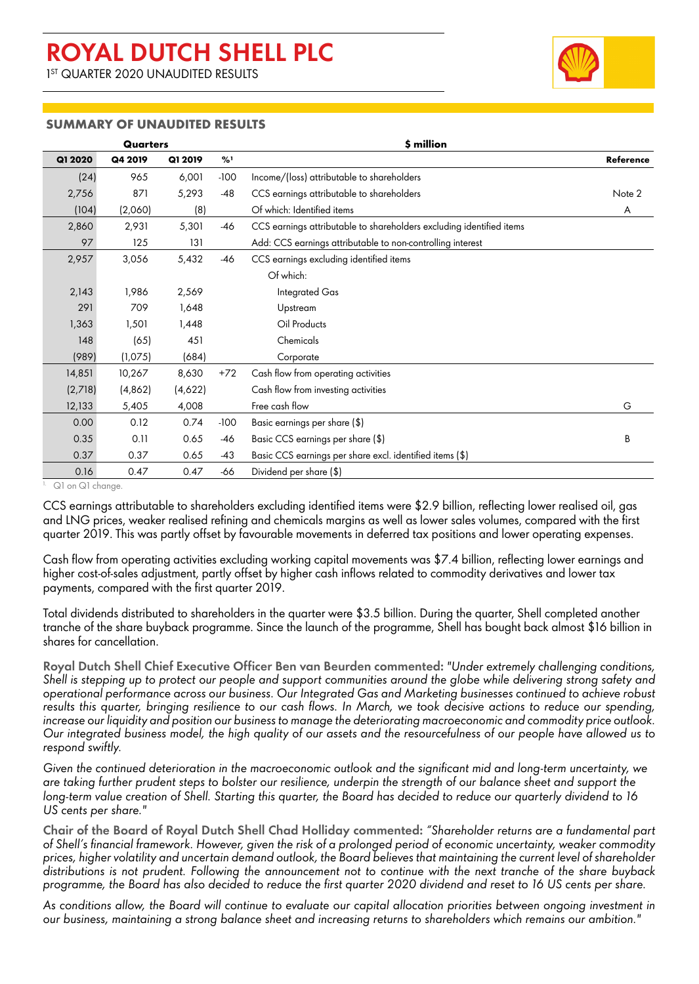1 ST QUARTER 2020 UNAUDITED RESULTS



#### **SUMMARY OF UNAUDITED RESULTS**

| <b>Quarters</b> |          |         |        | \$ million                                                           |           |
|-----------------|----------|---------|--------|----------------------------------------------------------------------|-----------|
| Q1 2020         | Q4 2019  | Q1 2019 | %1     |                                                                      | Reference |
| (24)            | 965      | 6,001   | $-100$ | Income/(loss) attributable to shareholders                           |           |
| 2,756           | 871      | 5,293   | $-48$  | CCS earnings attributable to shareholders                            | Note 2    |
| (104)           | (2,060)  | (8)     |        | Of which: Identified items                                           | A         |
| 2,860           | 2,931    | 5,301   | -46    | CCS earnings attributable to shareholders excluding identified items |           |
| 97              | 125      | 131     |        | Add: CCS earnings attributable to non-controlling interest           |           |
| 2,957           | 3,056    | 5,432   | -46    | CCS earnings excluding identified items                              |           |
|                 |          |         |        | Of which:                                                            |           |
| 2,143           | 1,986    | 2,569   |        | Integrated Gas                                                       |           |
| 291             | 709      | 1,648   |        | Upstream                                                             |           |
| 1,363           | 1,501    | 1,448   |        | Oil Products                                                         |           |
| 148             | (65)     | 451     |        | Chemicals                                                            |           |
| (989)           | (1,075)  | (684)   |        | Corporate                                                            |           |
| 14,851          | 10,267   | 8,630   | $+72$  | Cash flow from operating activities                                  |           |
| (2,718)         | (4, 862) | (4,622) |        | Cash flow from investing activities                                  |           |
| 12,133          | 5,405    | 4,008   |        | Free cash flow                                                       | G         |
| 0.00            | 0.12     | 0.74    | $-100$ | Basic earnings per share (\$)                                        |           |
| 0.35            | 0.11     | 0.65    | $-46$  | Basic CCS earnings per share (\$)                                    | B         |
| 0.37            | 0.37     | 0.65    | $-43$  | Basic CCS earnings per share excl. identified items (\$)             |           |
| 0.16            | 0.47     | 0.47    | -66    | Dividend per share (\$)                                              |           |

<sup>1.</sup> Q1 on Q1 change.

CCS earnings attributable to shareholders excluding identified items were \$2.9 billion, reflecting lower realised oil, gas and LNG prices, weaker realised refining and chemicals margins as well as lower sales volumes, compared with the first quarter 2019. This was partly offset by favourable movements in deferred tax positions and lower operating expenses.

Cash flow from operating activities excluding working capital movements was \$7.4 billion, reflecting lower earnings and higher cost-of-sales adjustment, partly offset by higher cash inflows related to commodity derivatives and lower tax payments, compared with the first quarter 2019.

Total dividends distributed to shareholders in the quarter were \$3.5 billion. During the quarter, Shell completed another tranche of the share buyback programme. Since the launch of the programme, Shell has bought back almost \$16 billion in shares for cancellation.

**Royal Dutch Shell Chief Executive Officer Ben van Beurden commented:** *"Under extremely challenging conditions, Shell is stepping up to protect our people and support communities around the globe while delivering strong safety and operational performance across our business. Our Integrated Gas and Marketing businesses continued to achieve robust results this quarter, bringing resilience to our cash flows. In March, we took decisive actions to reduce our spending, increase our liquidity and position our business to manage the deteriorating macroeconomic and commodity price outlook. Our integrated business model, the high quality of our assets and the resourcefulness of our people have allowed us to respond swiftly.*

*Given the continued deterioration in the macroeconomic outlook and the significant mid and long-term uncertainty, we are taking further prudent steps to bolster our resilience, underpin the strength of our balance sheet and support the long-term value creation of Shell. Starting this quarter, the Board has decided to reduce our quarterly dividend to 16 US cents per share."*

**Chair of the Board of Royal Dutch Shell Chad Holliday commented:** *"Shareholder returns are a fundamental part of Shell's financial framework. However, given the risk of a prolonged period of economic uncertainty, weaker commodity prices, higher volatility and uncertain demand outlook, the Board believes that maintaining the current level of shareholder distributions is not prudent. Following the announcement not to continue with the next tranche of the share buyback programme, the Board has also decided to reduce the first quarter 2020 dividend and reset to 16 US cents per share.*

*As conditions allow, the Board will continue to evaluate our capital allocation priorities between ongoing investment in our business, maintaining a strong balance sheet and increasing returns to shareholders which remains our ambition."*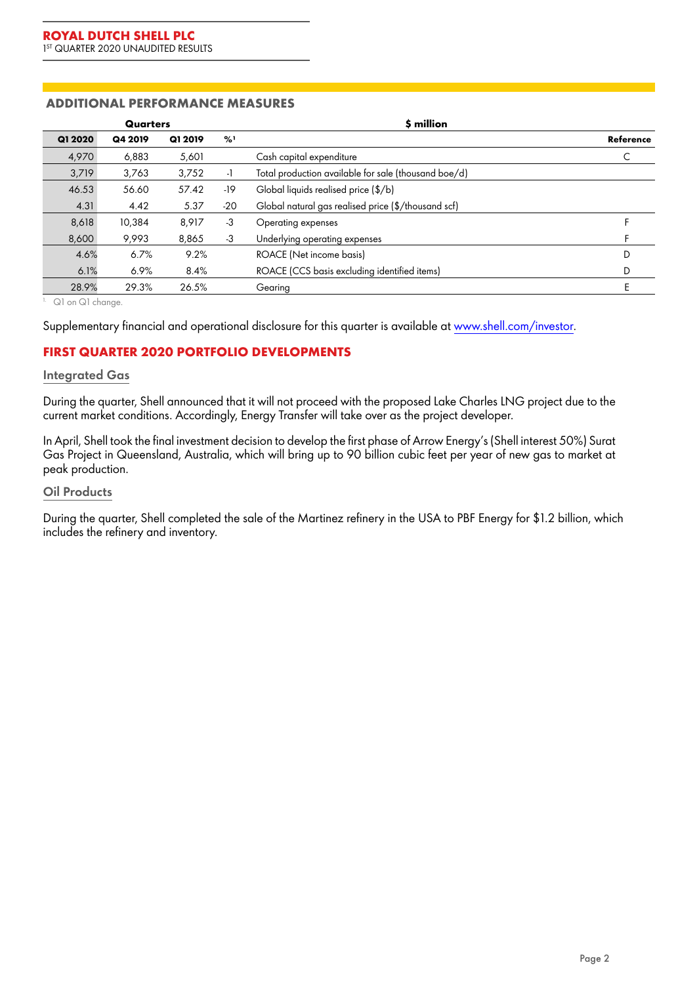### **ADDITIONAL PERFORMANCE MEASURES**

|         | Quarters |         |       | \$ million                                           |           |
|---------|----------|---------|-------|------------------------------------------------------|-----------|
| Q1 2020 | Q4 2019  | Q1 2019 | %'    |                                                      | Reference |
| 4,970   | 6.883    | 5,601   |       | Cash capital expenditure                             |           |
| 3,719   | 3,763    | 3.752   | $-1$  | Total production available for sale (thousand boe/d) |           |
| 46.53   | 56.60    | 57.42   | -19   | Global liquids realised price (\$/b)                 |           |
| 4.31    | 4.42     | 5.37    | $-20$ | Global natural gas realised price (\$/thousand scf)  |           |
| 8,618   | 10,384   | 8.917   | $-3$  | Operating expenses                                   |           |
| 8,600   | 9.993    | 8.865   | -3    | Underlying operating expenses                        |           |
| 4.6%    | 6.7%     | 9.2%    |       | ROACE (Net income basis)                             | D         |
| 6.1%    | 6.9%     | 8.4%    |       | ROACE (CCS basis excluding identified items)         | D         |
| 28.9%   | 29.3%    | 26.5%   |       | Gearing                                              |           |

1. Q1 on Q1 change.

Supplementary financial and operational disclosure for this quarter is available at [www.shell.com/investor.](http://www.shell.com/investor)

## **FIRST QUARTER 2020 PORTFOLIO DEVELOPMENTS**

#### **Integrated Gas**

During the quarter, Shell announced that it will not proceed with the proposed Lake Charles LNG project due to the current market conditions. Accordingly, Energy Transfer will take over as the project developer.

In April, Shell took the final investment decision to develop the first phase of Arrow Energy's (Shell interest 50%) Surat Gas Project in Queensland, Australia, which will bring up to 90 billion cubic feet per year of new gas to market at peak production.

#### **Oil Products**

During the quarter, Shell completed the sale of the Martinez refinery in the USA to PBF Energy for \$1.2 billion, which includes the refinery and inventory.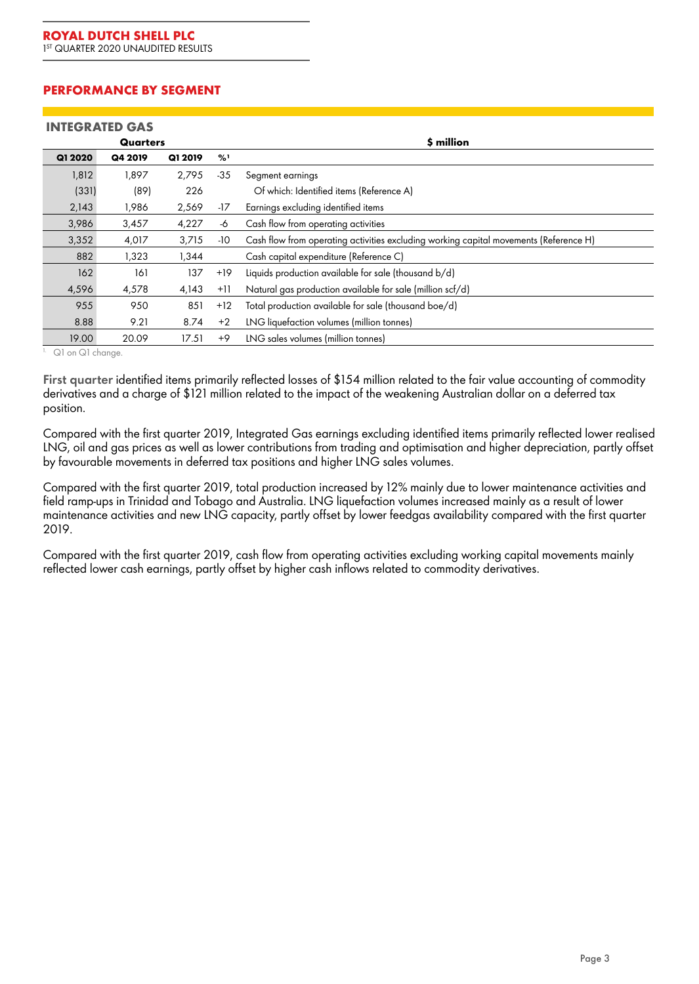### **PERFORMANCE BY SEGMENT**

|         | <b>INTEGRATED GAS</b> |         |       |                                                                                       |  |  |  |
|---------|-----------------------|---------|-------|---------------------------------------------------------------------------------------|--|--|--|
|         | Quarters              |         |       | \$ million                                                                            |  |  |  |
| Q1 2020 | Q4 2019               | Q1 2019 | %1    |                                                                                       |  |  |  |
| 1,812   | 1,897                 | 2,795   | $-35$ | Segment earnings                                                                      |  |  |  |
| (331)   | (89)                  | 226     |       | Of which: Identified items (Reference A)                                              |  |  |  |
| 2,143   | 1,986                 | 2,569   | -17   | Earnings excluding identified items                                                   |  |  |  |
| 3,986   | 3,457                 | 4,227   | -6    | Cash flow from operating activities                                                   |  |  |  |
| 3,352   | 4,017                 | 3,715   | $-10$ | Cash flow from operating activities excluding working capital movements (Reference H) |  |  |  |
| 882     | 1,323                 | 1,344   |       | Cash capital expenditure (Reference C)                                                |  |  |  |
| 162     | 161                   | 137     | $+19$ | Liquids production available for sale (thousand b/d)                                  |  |  |  |
| 4,596   | 4,578                 | 4,143   | $+11$ | Natural gas production available for sale (million scf/d)                             |  |  |  |
| 955     | 950                   | 851     | $+12$ | Total production available for sale (thousand boe/d)                                  |  |  |  |
| 8.88    | 9.21                  | 8.74    | $+2$  | LNG liquefaction volumes (million tonnes)                                             |  |  |  |
| 19.00   | 20.09                 | 17.51   | $+9$  | LNG sales volumes (million tonnes)                                                    |  |  |  |

1. Q1 on Q1 change.

**First quarter** identified items primarily reflected losses of \$154 million related to the fair value accounting of commodity derivatives and a charge of \$121 million related to the impact of the weakening Australian dollar on a deferred tax position.

Compared with the first quarter 2019, Integrated Gas earnings excluding identified items primarily reflected lower realised LNG, oil and gas prices as well as lower contributions from trading and optimisation and higher depreciation, partly offset by favourable movements in deferred tax positions and higher LNG sales volumes.

Compared with the first quarter 2019, total production increased by 12% mainly due to lower maintenance activities and field ramp-ups in Trinidad and Tobago and Australia. LNG liquefaction volumes increased mainly as a result of lower maintenance activities and new LNG capacity, partly offset by lower feedgas availability compared with the first quarter 2019.

Compared with the first quarter 2019, cash flow from operating activities excluding working capital movements mainly reflected lower cash earnings, partly offset by higher cash inflows related to commodity derivatives.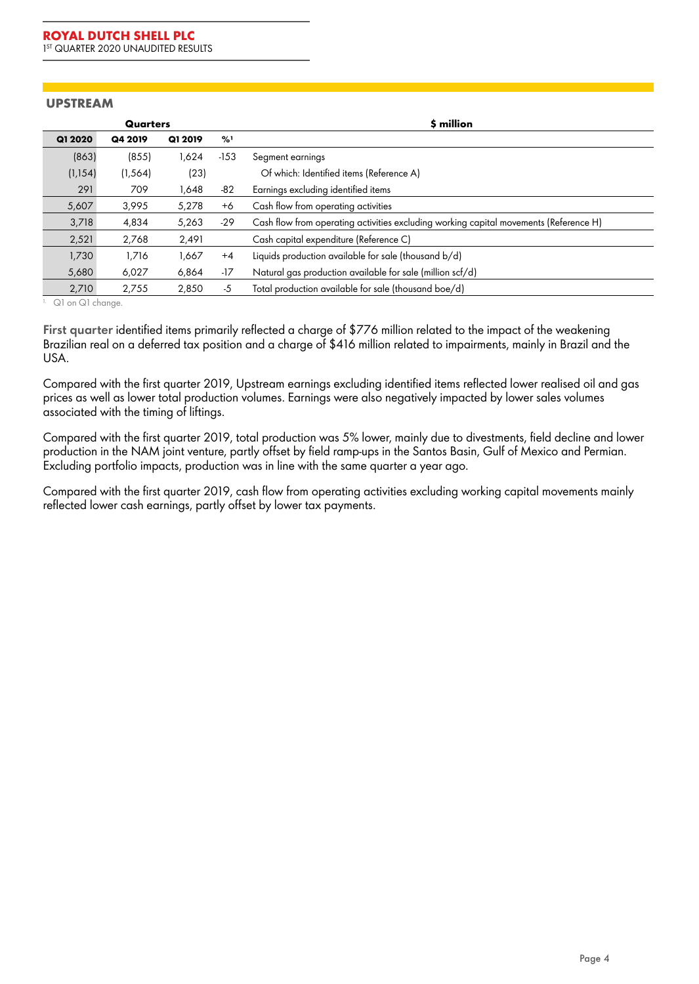#### **UPSTREAM**

|          | Quarters |         |        | \$ million                                                                            |
|----------|----------|---------|--------|---------------------------------------------------------------------------------------|
| Q1 2020  | Q4 2019  | Q1 2019 | %1     |                                                                                       |
| (863)    | (855)    | 1.624   | $-153$ | Segment earnings                                                                      |
| (1, 154) | (1, 564) | (23)    |        | Of which: Identified items (Reference A)                                              |
| 291      | 709      | 1,648   | -82    | Earnings excluding identified items                                                   |
| 5,607    | 3,995    | 5,278   | $+6$   | Cash flow from operating activities                                                   |
| 3,718    | 4,834    | 5,263   | -29    | Cash flow from operating activities excluding working capital movements (Reference H) |
| 2,521    | 2,768    | 2,491   |        | Cash capital expenditure (Reference C)                                                |
| 1,730    | 1,716    | 1,667   | $+4$   | Liquids production available for sale (thousand b/d)                                  |
| 5,680    | 6,027    | 6,864   | $-17$  | Natural gas production available for sale (million scf/d)                             |
| 2,710    | 2.755    | 2.850   | -5     | Total production available for sale (thousand boe/d)                                  |

1. Q1 on Q1 change.

**First quarter** identified items primarily reflected a charge of \$776 million related to the impact of the weakening Brazilian real on a deferred tax position and a charge of \$416 million related to impairments, mainly in Brazil and the USA.

Compared with the first quarter 2019, Upstream earnings excluding identified items reflected lower realised oil and gas prices as well as lower total production volumes. Earnings were also negatively impacted by lower sales volumes associated with the timing of liftings.

Compared with the first quarter 2019, total production was 5% lower, mainly due to divestments, field decline and lower production in the NAM joint venture, partly offset by field ramp-ups in the Santos Basin, Gulf of Mexico and Permian. Excluding portfolio impacts, production was in line with the same quarter a year ago.

Compared with the first quarter 2019, cash flow from operating activities excluding working capital movements mainly reflected lower cash earnings, partly offset by lower tax payments.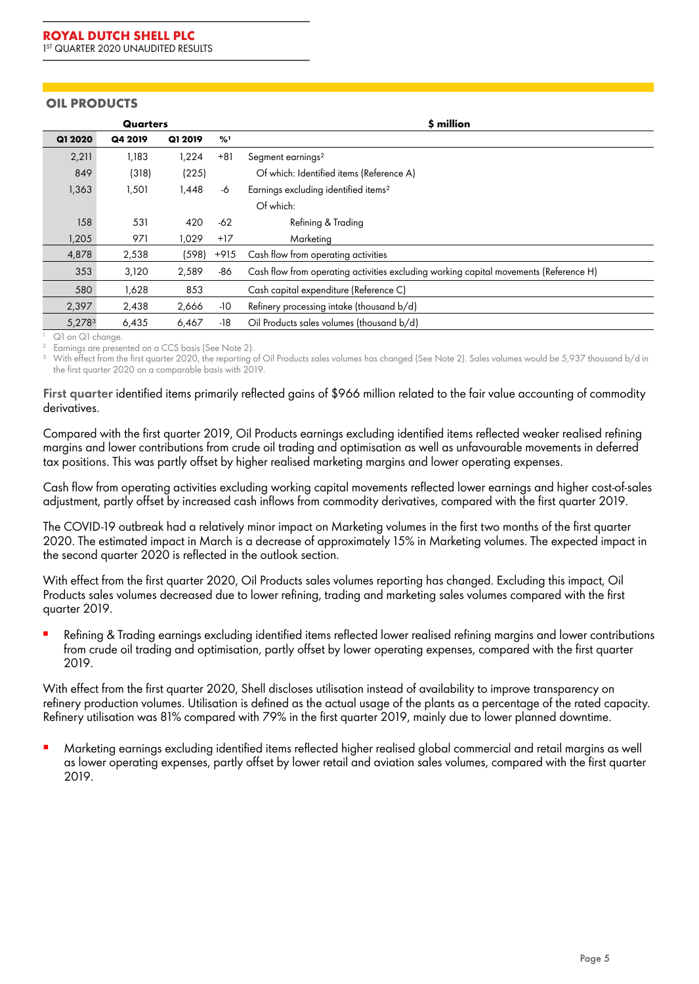### **OIL PRODUCTS**

| Quarters |         |         |               | \$ million                                                                            |
|----------|---------|---------|---------------|---------------------------------------------------------------------------------------|
| Q1 2020  | Q4 2019 | Q1 2019 | $\frac{9}{6}$ |                                                                                       |
| 2,211    | 1,183   | 1,224   | $+81$         | Segment earnings <sup>2</sup>                                                         |
| 849      | (318)   | (225)   |               | Of which: Identified items (Reference A)                                              |
| 1,363    | 1,501   | 1,448   | -6            | Earnings excluding identified items <sup>2</sup>                                      |
|          |         |         |               | Of which:                                                                             |
| 158      | 531     | 420     | $-62$         | Refining & Trading                                                                    |
| 1,205    | 971     | 1.029   | $+17$         | Marketing                                                                             |
| 4,878    | 2,538   | (598)   | $+915$        | Cash flow from operating activities                                                   |
| 353      | 3,120   | 2,589   | -86           | Cash flow from operating activities excluding working capital movements (Reference H) |
| 580      | 1,628   | 853     |               | Cash capital expenditure (Reference C)                                                |
| 2,397    | 2,438   | 2,666   | -10           | Refinery processing intake (thousand b/d)                                             |
| 5,2783   | 6,435   | 6,467   | $-18$         | Oil Products sales volumes (thousand b/d)                                             |

 $\frac{1}{2}$ . Q1 on Q1 change.

Earnings are presented on a CCS basis (See Note 2).

With effect from the first quarter 2020, the reporting of Oil Products sales volumes has changed (See Note 2). Sales volumes would be 5,937 thousand b/d in the first quarter 2020 on a comparable basis with 2019.

#### **First quarter** identified items primarily reflected gains of \$966 million related to the fair value accounting of commodity derivatives.

Compared with the first quarter 2019, Oil Products earnings excluding identified items reflected weaker realised refining margins and lower contributions from crude oil trading and optimisation as well as unfavourable movements in deferred tax positions. This was partly offset by higher realised marketing margins and lower operating expenses.

Cash flow from operating activities excluding working capital movements reflected lower earnings and higher cost-of-sales adjustment, partly offset by increased cash inflows from commodity derivatives, compared with the first quarter 2019.

The COVID-19 outbreak had a relatively minor impact on Marketing volumes in the first two months of the first quarter 2020. The estimated impact in March is a decrease of approximately 15% in Marketing volumes. The expected impact in the second quarter 2020 is reflected in the outlook section.

With effect from the first quarter 2020, Oil Products sales volumes reporting has changed. Excluding this impact, Oil Products sales volumes decreased due to lower refining, trading and marketing sales volumes compared with the first quarter 2019.

**▪** *Refining & Trading* earnings excluding identified items reflected lower realised refining margins and lower contributions from crude oil trading and optimisation, partly offset by lower operating expenses, compared with the first quarter 2019.

With effect from the first quarter 2020, Shell discloses utilisation instead of availability to improve transparency on refinery production volumes. Utilisation is defined as the actual usage of the plants as a percentage of the rated capacity. Refinery utilisation was 81% compared with 79% in the first quarter 2019, mainly due to lower planned downtime.

**▪** *Marketing* earnings excluding identified items reflected higher realised global commercial and retail margins as well as lower operating expenses, partly offset by lower retail and aviation sales volumes, compared with the first quarter 2019.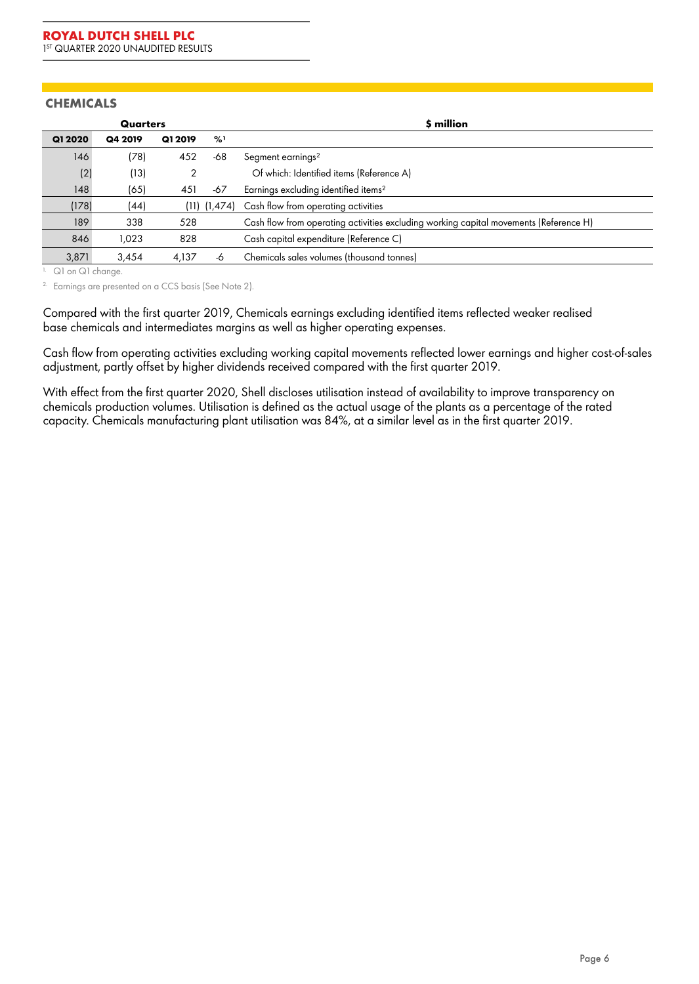## **CHEMICALS**

|         | Quarters |         |                  | \$ million                                                                            |
|---------|----------|---------|------------------|---------------------------------------------------------------------------------------|
| Q1 2020 | Q4 2019  | Q1 2019 | $\frac{9}{2}$    |                                                                                       |
| 146     | (78)     | 452     | -68              | Segment earnings <sup>2</sup>                                                         |
| (2)     | (13)     | 2       |                  | Of which: Identified items (Reference A)                                              |
| 148     | (65)     | 451     | -67              | Earnings excluding identified items <sup>2</sup>                                      |
| (178)   | (44)     |         | $(11)$ $(1,474)$ | Cash flow from operating activities                                                   |
| 189     | 338      | 528     |                  | Cash flow from operating activities excluding working capital movements (Reference H) |
| 846     | 1,023    | 828     |                  | Cash capital expenditure (Reference C)                                                |
| 3,871   | 3,454    | 4.137   | -6               | Chemicals sales volumes (thousand tonnes)                                             |

1. Q1 on Q1 change.

<sup>2.</sup> Earnings are presented on a CCS basis (See Note 2).

Compared with the first quarter 2019, Chemicals earnings excluding identified items reflected weaker realised base chemicals and intermediates margins as well as higher operating expenses.

Cash flow from operating activities excluding working capital movements reflected lower earnings and higher cost-of-sales adjustment, partly offset by higher dividends received compared with the first quarter 2019.

With effect from the first quarter 2020, Shell discloses utilisation instead of availability to improve transparency on chemicals production volumes. Utilisation is defined as the actual usage of the plants as a percentage of the rated capacity. Chemicals manufacturing plant utilisation was 84%, at a similar level as in the first quarter 2019.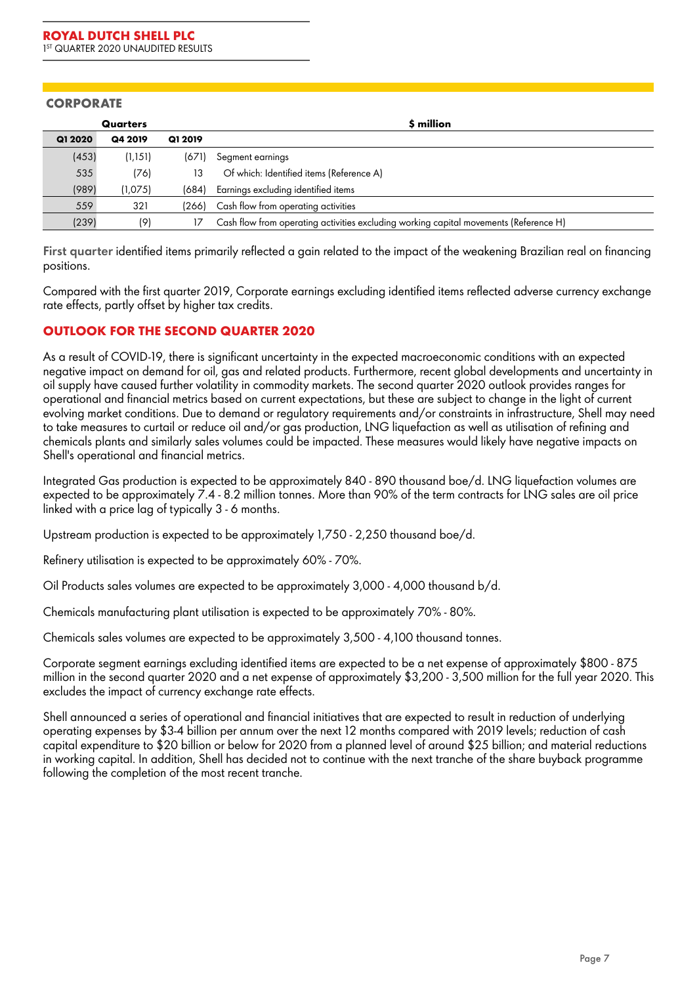### **CORPORATE**

|         | Quarters |         | \$ million                                                                            |
|---------|----------|---------|---------------------------------------------------------------------------------------|
| Q1 2020 | Q4 2019  | Q1 2019 |                                                                                       |
| (453)   | (1,151)  | (671)   | Segment earnings                                                                      |
| 535     | (76)     | 13      | Of which: Identified items (Reference A)                                              |
| (989)   | (1,075)  | (684)   | Earnings excluding identified items                                                   |
| 559     | 321      |         | (266) Cash flow from operating activities                                             |
| (239)   | (9)      |         | Cash flow from operating activities excluding working capital movements (Reference H) |

**First quarter** identified items primarily reflected a gain related to the impact of the weakening Brazilian real on financing positions.

Compared with the first quarter 2019, Corporate earnings excluding identified items reflected adverse currency exchange rate effects, partly offset by higher tax credits.

## **OUTLOOK FOR THE SECOND QUARTER 2020**

As a result of COVID-19, there is significant uncertainty in the expected macroeconomic conditions with an expected negative impact on demand for oil, gas and related products. Furthermore, recent global developments and uncertainty in oil supply have caused further volatility in commodity markets. The second quarter 2020 outlook provides ranges for operational and financial metrics based on current expectations, but these are subject to change in the light of current evolving market conditions. Due to demand or regulatory requirements and/or constraints in infrastructure, Shell may need to take measures to curtail or reduce oil and/or gas production, LNG liquefaction as well as utilisation of refining and chemicals plants and similarly sales volumes could be impacted. These measures would likely have negative impacts on Shell's operational and financial metrics.

Integrated Gas production is expected to be approximately 840 - 890 thousand boe/d. LNG liquefaction volumes are expected to be approximately 7.4 - 8.2 million tonnes. More than 90% of the term contracts for LNG sales are oil price linked with a price lag of typically 3 - 6 months.

Upstream production is expected to be approximately 1,750 - 2,250 thousand boe/d.

Refinery utilisation is expected to be approximately 60% - 70%.

Oil Products sales volumes are expected to be approximately 3,000 - 4,000 thousand b/d.

Chemicals manufacturing plant utilisation is expected to be approximately 70% - 80%.

Chemicals sales volumes are expected to be approximately 3,500 - 4,100 thousand tonnes.

Corporate segment earnings excluding identified items are expected to be a net expense of approximately \$800 - 875 million in the second quarter 2020 and a net expense of approximately \$3,200 - 3,500 million for the full year 2020. This excludes the impact of currency exchange rate effects.

Shell announced a series of operational and financial initiatives that are expected to result in reduction of underlying operating expenses by \$3-4 billion per annum over the next 12 months compared with 2019 levels; reduction of cash capital expenditure to \$20 billion or below for 2020 from a planned level of around \$25 billion; and material reductions in working capital. In addition, Shell has decided not to continue with the next tranche of the share buyback programme following the completion of the most recent tranche.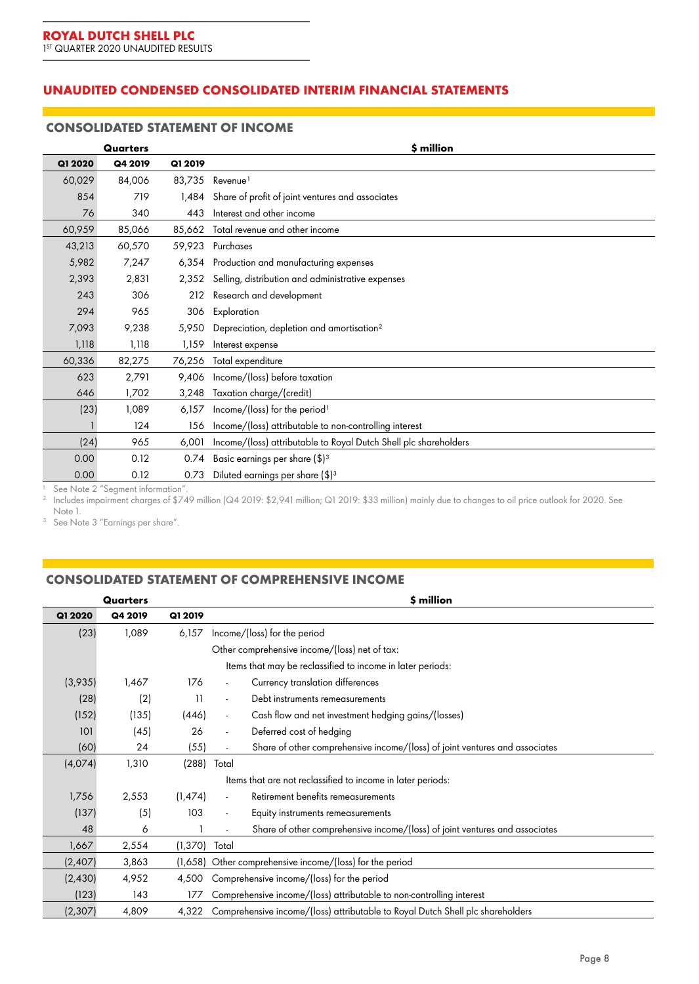# **UNAUDITED CONDENSED CONSOLIDATED INTERIM FINANCIAL STATEMENTS**

#### **CONSOLIDATED STATEMENT OF INCOME**

|         | Quarters                         |         | \$ million                                                       |
|---------|----------------------------------|---------|------------------------------------------------------------------|
| Q1 2020 | Q4 2019                          | Q1 2019 |                                                                  |
| 60,029  | 84,006                           | 83,735  | Revenue <sup>1</sup>                                             |
| 854     | 719                              | 1.484   | Share of profit of joint ventures and associates                 |
| 76      | 340                              | 443     | Interest and other income                                        |
| 60,959  | 85,066                           | 85,662  | Total revenue and other income                                   |
| 43,213  | 60,570                           | 59,923  | Purchases                                                        |
| 5,982   | 7,247                            | 6,354   | Production and manufacturing expenses                            |
| 2,393   | 2,831                            | 2,352   | Selling, distribution and administrative expenses                |
| 243     | 306                              | 212     | Research and development                                         |
| 294     | 965                              | 306     | Exploration                                                      |
| 7,093   | 9,238                            | 5,950   | Depreciation, depletion and amortisation <sup>2</sup>            |
| 1,118   | 1,118                            | 1,159   | Interest expense                                                 |
| 60,336  | 82,275                           | 76,256  | Total expenditure                                                |
| 623     | 2,791                            | 9,406   | Income/(loss) before taxation                                    |
| 646     | 1,702                            | 3,248   | Taxation charge/(credit)                                         |
| (23)    | 1,089                            | 6,157   | Income/(loss) for the period <sup>1</sup>                        |
|         | 124                              | 156     | Income/(loss) attributable to non-controlling interest           |
| (24)    | 965                              | 6,001   | Income/(loss) attributable to Royal Dutch Shell plc shareholders |
| 0.00    | 0.12                             | 0.74    | Basic earnings per share (\$) <sup>3</sup>                       |
| 0.00    | 0.12                             | 0.73    | Diluted earnings per share (\$) <sup>3</sup>                     |
|         | Soo Note 2 "Sogmant information" |         |                                                                  |

1. See Note 2 "Segment information". 2. Includes impairment charges of \$749 million (Q4 2019: \$2,941 million; Q1 2019: \$33 million) mainly due to changes to oil price outlook for 2020. See

Note 1.

3. See Note 3 "Earnings per share".

# **CONSOLIDATED STATEMENT OF COMPREHENSIVE INCOME**

| 4,500<br>Comprehensive income/(loss) for the period |  |  |
|-----------------------------------------------------|--|--|
|                                                     |  |  |
|                                                     |  |  |
|                                                     |  |  |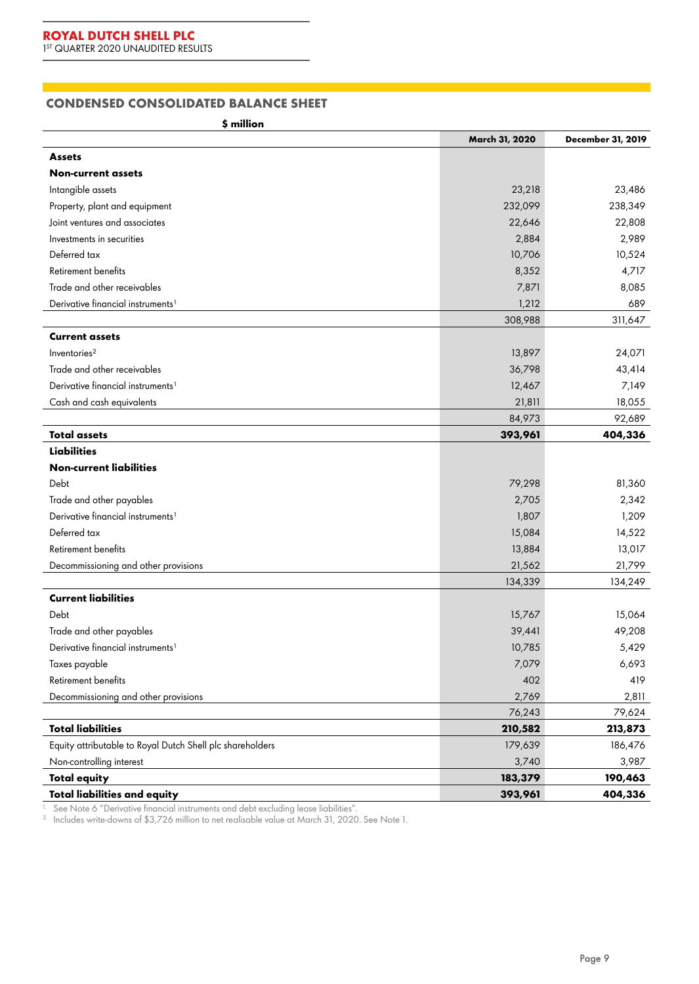## **CONDENSED CONSOLIDATED BALANCE SHEET**

**\$ million**

|                                                           | March 31, 2020 | December 31, 2019 |
|-----------------------------------------------------------|----------------|-------------------|
| <b>Assets</b>                                             |                |                   |
| <b>Non-current assets</b>                                 |                |                   |
| Intangible assets                                         | 23,218         | 23,486            |
| Property, plant and equipment                             | 232,099        | 238,349           |
| Joint ventures and associates                             | 22,646         | 22,808            |
| Investments in securities                                 | 2,884          | 2,989             |
| Deferred tax                                              | 10,706         | 10,524            |
| Retirement benefits                                       | 8,352          | 4,717             |
| Trade and other receivables                               | 7,871          | 8,085             |
| Derivative financial instruments <sup>1</sup>             | 1,212          | 689               |
|                                                           | 308,988        | 311,647           |
| <b>Current assets</b>                                     |                |                   |
| Inventories <sup>2</sup>                                  | 13,897         | 24,071            |
| Trade and other receivables                               | 36,798         | 43,414            |
| Derivative financial instruments <sup>1</sup>             | 12,467         | 7,149             |
| Cash and cash equivalents                                 | 21,811         | 18,055            |
|                                                           | 84,973         | 92,689            |
| <b>Total assets</b>                                       | 393,961        | 404,336           |
| <b>Liabilities</b>                                        |                |                   |
| <b>Non-current liabilities</b>                            |                |                   |
| Debt                                                      | 79,298         | 81,360            |
| Trade and other payables                                  | 2,705          | 2,342             |
| Derivative financial instruments <sup>1</sup>             | 1,807          | 1,209             |
| Deferred tax                                              | 15,084         | 14,522            |
| Retirement benefits                                       | 13,884         | 13,017            |
| Decommissioning and other provisions                      | 21,562         | 21,799            |
|                                                           | 134,339        | 134,249           |
| <b>Current liabilities</b>                                |                |                   |
| Debt                                                      | 15,767         | 15,064            |
| Trade and other payables                                  | 39,441         | 49,208            |
| Derivative financial instruments <sup>1</sup>             | 10,785         | 5,429             |
| Taxes payable                                             | 7,079          | 6,693             |
| Retirement benefits                                       | 402            | 419               |
| Decommissioning and other provisions                      | 2,769          | 2,811             |
|                                                           | 76,243         | 79,624            |
| <b>Total liabilities</b>                                  | 210,582        | 213,873           |
| Equity attributable to Royal Dutch Shell plc shareholders | 179,639        | 186,476           |
| Non-controlling interest                                  | 3,740          | 3,987             |
| <b>Total equity</b>                                       | 183,379        | 190,463           |
| <b>Total liabilities and equity</b>                       | 393,961        | 404,336           |

 $^{\rm h}$  See Note 6 "Derivative financial instruments and debt excluding lease liabilities".

 $^{2}$  Includes write-downs of \$3,726 million to net realisable value at March 31, 2020. See Note 1.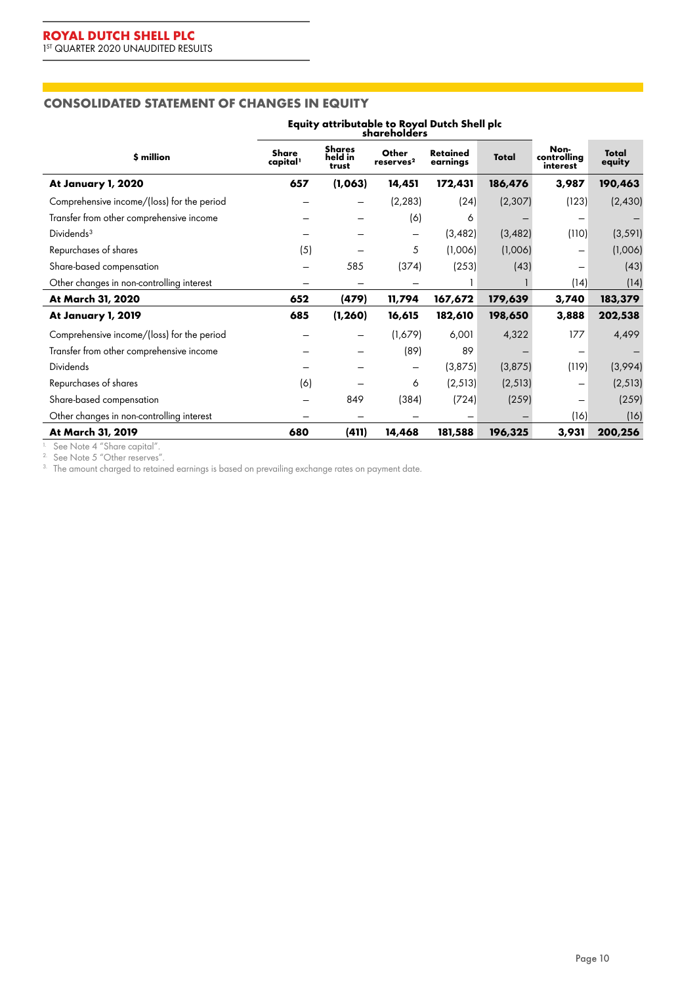# **CONSOLIDATED STATEMENT OF CHANGES IN EQUITY**

|                                            | Equity attributable to Royal Dutch Shell plc |                                   |                                |                             |              |                                 |                        |
|--------------------------------------------|----------------------------------------------|-----------------------------------|--------------------------------|-----------------------------|--------------|---------------------------------|------------------------|
| \$ million                                 | <b>Share</b><br>capital <sup>1</sup>         | <b>Shares</b><br>held in<br>trust | Other<br>reserves <sup>2</sup> | <b>Retained</b><br>earnings | <b>Total</b> | Non-<br>controlling<br>interest | <b>Total</b><br>equity |
| At January 1, 2020                         | 657                                          | (1,063)                           | 14,451                         | 172,431                     | 186,476      | 3,987                           | 190,463                |
| Comprehensive income/(loss) for the period |                                              |                                   | (2, 283)                       | (24)                        | (2, 307)     | (123)                           | (2,430)                |
| Transfer from other comprehensive income   |                                              |                                   | (6)                            | 6                           |              |                                 |                        |
| Dividends <sup>3</sup>                     |                                              |                                   | -                              | (3, 482)                    | (3, 482)     | (110)                           | (3, 591)               |
| Repurchases of shares                      | (5)                                          |                                   | 5                              | (1,006)                     | (1,006)      | -                               | (1,006)                |
| Share-based compensation                   |                                              | 585                               | (374)                          | (253)                       | (43)         | -                               | (43)                   |
| Other changes in non-controlling interest  |                                              |                                   |                                |                             |              | (14)                            | (14)                   |
| At March 31, 2020                          | 652                                          | (479)                             | 11,794                         | 167,672                     | 179,639      | 3,740                           | 183,379                |
| At January 1, 2019                         | 685                                          | (1, 260)                          | 16,615                         | 182,610                     | 198,650      | 3,888                           | 202,538                |
| Comprehensive income/(loss) for the period |                                              |                                   | (1,679)                        | 6,001                       | 4,322        | 177                             | 4,499                  |
| Transfer from other comprehensive income   |                                              |                                   | (89)                           | 89                          |              |                                 |                        |
| <b>Dividends</b>                           |                                              |                                   | -                              | (3,875)                     | (3,875)      | (119)                           | (3,994)                |
| Repurchases of shares                      | (6)                                          |                                   | 6                              | (2, 513)                    | (2, 513)     | -                               | (2, 513)               |
| Share-based compensation                   |                                              | 849                               | (384)                          | (724)                       | (259)        |                                 | (259)                  |
| Other changes in non-controlling interest  |                                              |                                   |                                |                             |              | (16)                            | (16)                   |
| At March 31, 2019                          | 680                                          | (411)                             | 14,468                         | 181,588                     | 196,325      | 3,931                           | 200,256                |

1. See Note 4 "Share capital". 2. See Note 5 "Other reserves".

 $3$  The amount charged to retained earnings is based on prevailing exchange rates on payment date.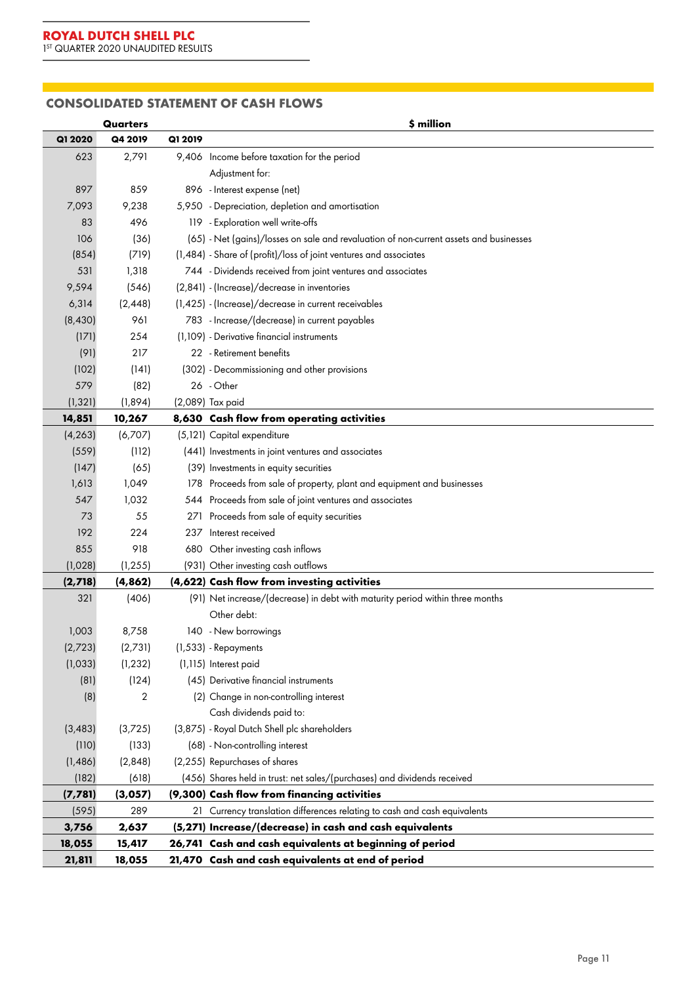$\mathbb{R}^{n \times n}$ 

## **CONSOLIDATED STATEMENT OF CASH FLOWS**

|          | Quarters |         | \$ million                                                                             |
|----------|----------|---------|----------------------------------------------------------------------------------------|
| Q1 2020  | Q4 2019  | Q1 2019 |                                                                                        |
| 623      | 2,791    |         | 9,406 Income before taxation for the period                                            |
|          |          |         | Adjustment for:                                                                        |
| 897      | 859      |         | 896 - Interest expense (net)                                                           |
| 7,093    | 9,238    |         | 5,950 - Depreciation, depletion and amortisation                                       |
| 83       | 496      |         | 119 - Exploration well write-offs                                                      |
| 106      | (36)     |         | (65) - Net (gains)/losses on sale and revaluation of non-current assets and businesses |
| (854)    | (719)    |         | (1,484) - Share of (profit)/loss of joint ventures and associates                      |
| 531      | 1,318    |         | 744 - Dividends received from joint ventures and associates                            |
| 9,594    | (546)    |         | (2,841) - (Increase)/decrease in inventories                                           |
| 6,314    | (2, 448) |         | (1,425) - (Increase)/decrease in current receivables                                   |
| (8,430)  | 961      |         | 783 - Increase/(decrease) in current payables                                          |
| (171)    | 254      |         | (1,109) - Derivative financial instruments                                             |
| (91)     | 217      |         | 22 - Retirement benefits                                                               |
| (102)    | (141)    |         | (302) - Decommissioning and other provisions                                           |
| 579      | (82)     |         | 26 - Other                                                                             |
| (1, 321) | (1,894)  |         | (2,089) Tax paid                                                                       |
| 14,851   | 10,267   |         | 8,630 Cash flow from operating activities                                              |
| (4, 263) | (6,707)  |         | (5,121) Capital expenditure                                                            |
| (559)    | (112)    |         | (441) Investments in joint ventures and associates                                     |
| (147)    | (65)     |         | (39) Investments in equity securities                                                  |
| 1,613    | 1,049    |         | 178 Proceeds from sale of property, plant and equipment and businesses                 |
| 547      | 1,032    |         | 544 Proceeds from sale of joint ventures and associates                                |
| 73       | 55       | 271     | Proceeds from sale of equity securities                                                |
| 192      | 224      | 237     | Interest received                                                                      |
| 855      | 918      |         | 680 Other investing cash inflows                                                       |
| (1,028)  | (1, 255) |         | (931) Other investing cash outflows                                                    |
| (2,718)  | (4,862)  |         | (4,622) Cash flow from investing activities                                            |
| 321      | (406)    |         | (91) Net increase/(decrease) in debt with maturity period within three months          |
|          |          |         | Other debt:                                                                            |
| 1,003    | 8,758    |         | 140 - New borrowings                                                                   |
| (2,723)  | (2,731)  |         | (1,533) - Repayments                                                                   |
| (1,033)  | (1, 232) |         | (1,115) Interest paid                                                                  |
| (81)     | (124)    |         | (45) Derivative financial instruments                                                  |
| (8)      | 2        |         | (2) Change in non-controlling interest                                                 |
|          |          |         | Cash dividends paid to:                                                                |
| (3, 483) | (3,725)  |         | (3,875) - Royal Dutch Shell plc shareholders                                           |
| (110)    | (133)    |         | (68) - Non-controlling interest                                                        |
| (1,486)  | (2,848)  |         | (2,255) Repurchases of shares                                                          |
| (182)    | (618)    |         | (456) Shares held in trust: net sales/(purchases) and dividends received               |
| (7, 781) | (3,057)  |         | (9,300) Cash flow from financing activities                                            |
| (595)    | 289      |         | 21 Currency translation differences relating to cash and cash equivalents              |
| 3,756    | 2,637    |         | (5,271) Increase/(decrease) in cash and cash equivalents                               |
| 18,055   | 15,417   |         | 26,741 Cash and cash equivalents at beginning of period                                |
| 21,811   | 18,055   |         | 21,470 Cash and cash equivalents at end of period                                      |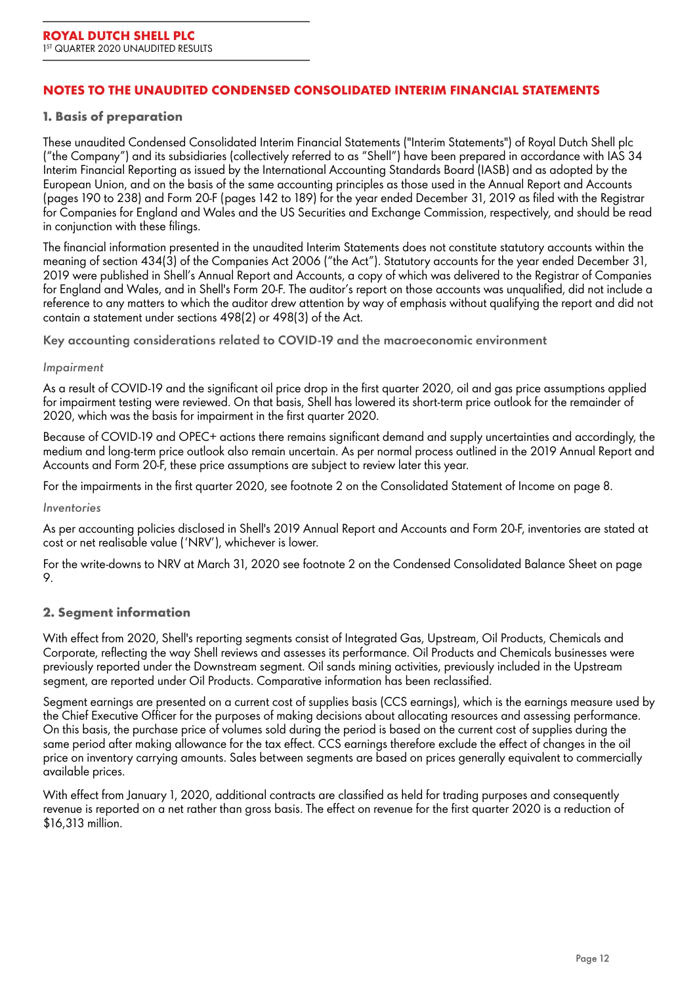### **NOTES TO THE UNAUDITED CONDENSED CONSOLIDATED INTERIM FINANCIAL STATEMENTS**

#### **1. Basis of preparation**

These unaudited Condensed Consolidated Interim Financial Statements ("Interim Statements") of Royal Dutch Shell plc ("the Company") and its subsidiaries (collectively referred to as "Shell") have been prepared in accordance with IAS 34 Interim Financial Reporting as issued by the International Accounting Standards Board (IASB) and as adopted by the European Union, and on the basis of the same accounting principles as those used in the Annual Report and Accounts (pages 190 to 238) and Form 20-F (pages 142 to 189) for the year ended December 31, 2019 as filed with the Registrar for Companies for England and Wales and the US Securities and Exchange Commission, respectively, and should be read in conjunction with these filings.

The financial information presented in the unaudited Interim Statements does not constitute statutory accounts within the meaning of section 434(3) of the Companies Act 2006 ("the Act"). Statutory accounts for the year ended December 31, 2019 were published in Shell's Annual Report and Accounts, a copy of which was delivered to the Registrar of Companies for England and Wales, and in Shell's Form 20-F. The auditor's report on those accounts was unqualified, did not include a reference to any matters to which the auditor drew attention by way of emphasis without qualifying the report and did not contain a statement under sections 498(2) or 498(3) of the Act.

**Key accounting considerations related to COVID-19 and the macroeconomic environment**

#### *Impairment*

As a result of COVID-19 and the significant oil price drop in the first quarter 2020, oil and gas price assumptions applied for impairment testing were reviewed. On that basis, Shell has lowered its short-term price outlook for the remainder of 2020, which was the basis for impairment in the first quarter 2020.

Because of COVID-19 and OPEC+ actions there remains significant demand and supply uncertainties and accordingly, the medium and long-term price outlook also remain uncertain. As per normal process outlined in the 2019 Annual Report and Accounts and Form 20-F, these price assumptions are subject to review later this year.

For the impairments in the first quarter 2020, see footnote 2 on the Consolidated Statement of Income on page 8.

#### *Inventories*

As per accounting policies disclosed in Shell's 2019 Annual Report and Accounts and Form 20-F, inventories are stated at cost or net realisable value ('NRV'), whichever is lower.

For the write-downs to NRV at March 31, 2020 see footnote 2 on the Condensed Consolidated Balance Sheet on page 9.

#### **2. Segment information**

With effect from 2020, Shell's reporting segments consist of Integrated Gas, Upstream, Oil Products, Chemicals and Corporate, reflecting the way Shell reviews and assesses its performance. Oil Products and Chemicals businesses were previously reported under the Downstream segment. Oil sands mining activities, previously included in the Upstream segment, are reported under Oil Products. Comparative information has been reclassified.

Segment earnings are presented on a current cost of supplies basis (CCS earnings), which is the earnings measure used by the Chief Executive Officer for the purposes of making decisions about allocating resources and assessing performance. On this basis, the purchase price of volumes sold during the period is based on the current cost of supplies during the same period after making allowance for the tax effect. CCS earnings therefore exclude the effect of changes in the oil price on inventory carrying amounts. Sales between segments are based on prices generally equivalent to commercially available prices.

With effect from January 1, 2020, additional contracts are classified as held for trading purposes and consequently revenue is reported on a net rather than gross basis. The effect on revenue for the first quarter 2020 is a reduction of \$16,313 million.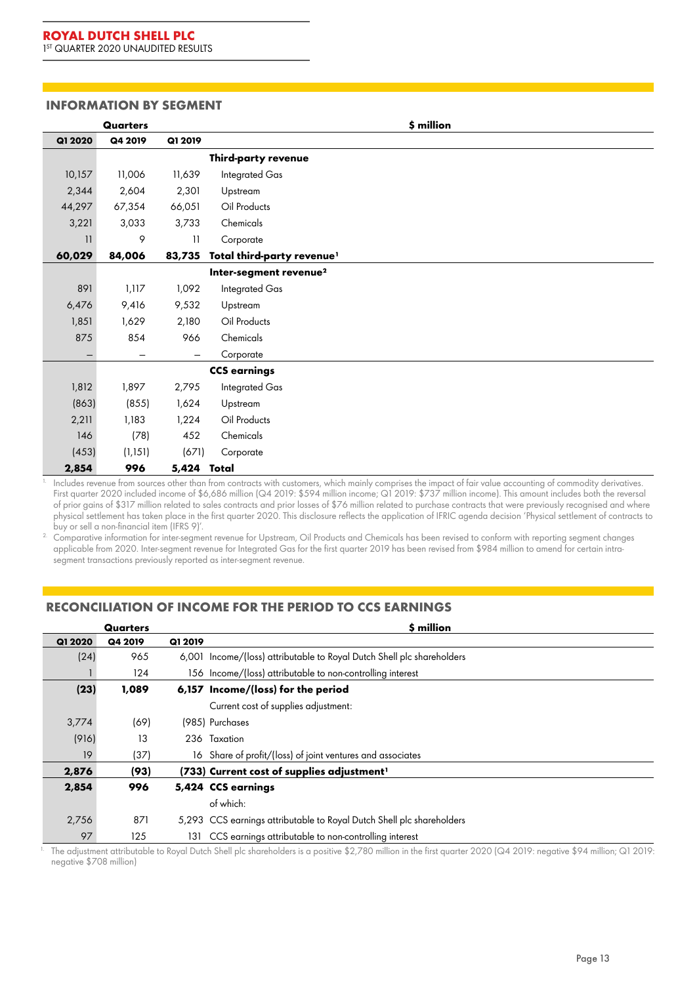#### **INFORMATION BY SEGMENT**

|                   | Quarters |                 |                                        | \$ million |  |
|-------------------|----------|-----------------|----------------------------------------|------------|--|
| Q1 2020           | Q4 2019  | Q1 2019         |                                        |            |  |
|                   |          |                 | Third-party revenue                    |            |  |
| 10,157            | 11,006   | 11,639          | Integrated Gas                         |            |  |
| 2,344             | 2,604    | 2,301           | Upstream                               |            |  |
| 44,297            | 67,354   | 66,051          | Oil Products                           |            |  |
| 3,221             | 3,033    | 3,733           | Chemicals                              |            |  |
| 11                | 9        | $\overline{11}$ | Corporate                              |            |  |
| 60,029            | 84,006   | 83,735          | Total third-party revenue <sup>1</sup> |            |  |
|                   |          |                 | Inter-segment revenue <sup>2</sup>     |            |  |
| 891               | 1,117    | 1,092           | <b>Integrated Gas</b>                  |            |  |
| 6,476             | 9,416    | 9,532           | Upstream                               |            |  |
| 1,851             | 1,629    | 2,180           | Oil Products                           |            |  |
| 875               | 854      | 966             | Chemicals                              |            |  |
| $\qquad \qquad -$ | —        |                 | Corporate                              |            |  |
|                   |          |                 | <b>CCS earnings</b>                    |            |  |
| 1,812             | 1,897    | 2,795           | Integrated Gas                         |            |  |
| (863)             | (855)    | 1,624           | Upstream                               |            |  |
| 2,211             | 1,183    | 1,224           | Oil Products                           |            |  |
| 146               | (78)     | 452             | Chemicals                              |            |  |
| (453)             | (1, 151) | (671)           | Corporate                              |            |  |
| 2,854             | 996      | 5,424 Total     |                                        |            |  |

<sup>1.</sup> Includes revenue from sources other than from contracts with customers, which mainly comprises the impact of fair value accounting of commodity derivatives. First quarter 2020 included income of \$6,686 million (Q4 2019: \$594 million income; Q1 2019: \$737 million income). This amount includes both the reversal of prior gains of \$317 million related to sales contracts and prior losses of \$76 million related to purchase contracts that were previously recognised and where physical settlement has taken place in the first quarter 2020. This disclosure reflects the application of IFRIC agenda decision 'Physical settlement of contracts to buy or sell a non-financial item (IFRS 9)'.

2. Comparative information for inter-segment revenue for Upstream, Oil Products and Chemicals has been revised to conform with reporting segment changes applicable from 2020. Inter-segment revenue for Integrated Gas for the first quarter 2019 has been revised from \$984 million to amend for certain intrasegment transactions previously reported as inter-segment revenue.

## **RECONCILIATION OF INCOME FOR THE PERIOD TO CCS EARNINGS**

|         | Quarters |         | \$ million                                                             |
|---------|----------|---------|------------------------------------------------------------------------|
| Q1 2020 | Q4 2019  | Q1 2019 |                                                                        |
| (24)    | 965      |         | 6,001 Income/(loss) attributable to Royal Dutch Shell plc shareholders |
|         | 124      |         | 156 Income/(loss) attributable to non-controlling interest             |
| (23)    | 1,089    |         | 6,157 Income/(loss) for the period                                     |
|         |          |         | Current cost of supplies adjustment:                                   |
| 3,774   | (69)     |         | (985) Purchases                                                        |
| (916)   | 13       |         | 236 Taxation                                                           |
| 19      | (37)     |         | 16 Share of profit/(loss) of joint ventures and associates             |
| 2,876   | (93)     |         | (733) Current cost of supplies adjustment <sup>1</sup>                 |
| 2,854   | 996      |         | 5,424 CCS earnings                                                     |
|         |          |         | of which:                                                              |
| 2,756   | 871      |         | 5,293 CCS earnings attributable to Royal Dutch Shell plc shareholders  |
| 97      | 125      | 131     | CCS earnings attributable to non-controlling interest                  |

1. The adjustment attributable to Royal Dutch Shell plc shareholders is a positive \$2,780 million in the first quarter 2020 (Q4 2019: negative \$94 million; Q1 2019: negative \$708 million)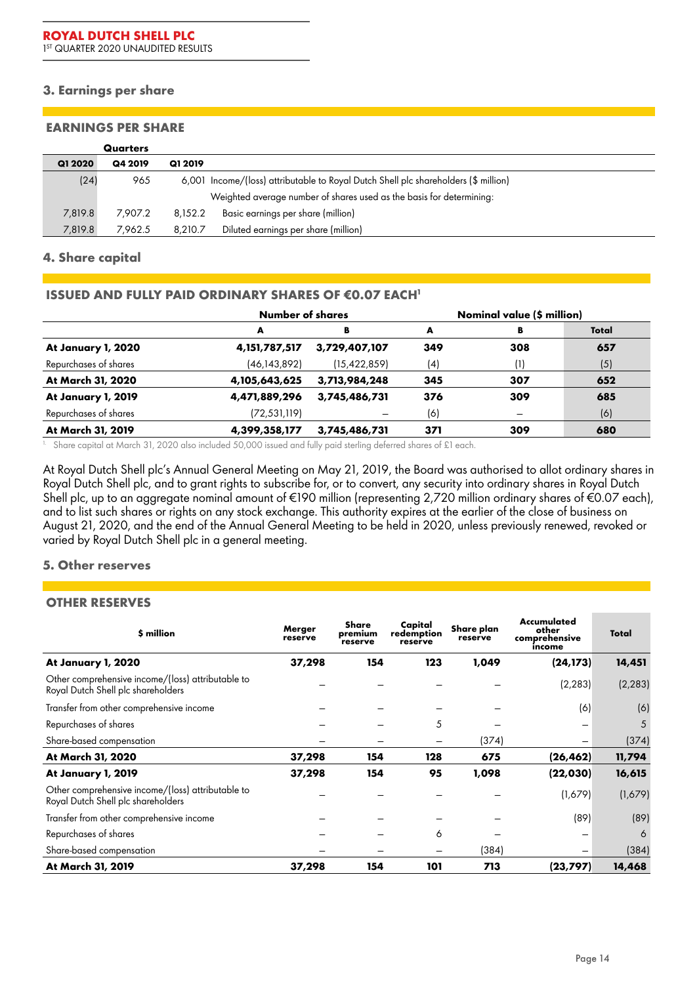### **3. Earnings per share**

#### **EARNINGS PER SHARE**

|         | Quarters |         |                                                                                     |
|---------|----------|---------|-------------------------------------------------------------------------------------|
| Q1 2020 | Q4 2019  | Q1 2019 |                                                                                     |
| (24)    | 965      |         | 6,001 Income/(loss) attributable to Royal Dutch Shell plc shareholders (\$ million) |
|         |          |         | Weighted average number of shares used as the basis for determining:                |
| 7,819.8 | 7.907.2  | 8,152.2 | Basic earnings per share (million)                                                  |
| 7,819.8 | 7.962.5  | 8.210.7 | Diluted earnings per share (million)                                                |

#### **4. Share capital**

#### **ISSUED AND FULLY PAID ORDINARY SHARES OF €0.07 EACH<sup>1</sup>**

|                       | Number of shares | Nominal value (\$ million) |     |                          |       |
|-----------------------|------------------|----------------------------|-----|--------------------------|-------|
|                       | A                | в                          | A   | В                        | Total |
| At January 1, 2020    | 4, 151, 787, 517 | 3,729,407,107              | 349 | 308                      | 657   |
| Repurchases of shares | (46, 143, 892)   | (15, 422, 859)             | (4) | (1)                      | (5)   |
| At March 31, 2020     | 4,105,643,625    | 3,713,984,248              | 345 | 307                      | 652   |
| At January 1, 2019    | 4,471,889,296    | 3,745,486,731              | 376 | 309                      | 685   |
| Repurchases of shares | (72, 531, 119)   |                            | (6) | $\overline{\phantom{0}}$ | (6)   |
| At March 31, 2019     | 4,399,358,177    | 3,745,486,731              | 371 | 309                      | 680   |

<sup>1.</sup> Share capital at March 31, 2020 also included 50,000 issued and fully paid sterling deferred shares of £1 each.

At Royal Dutch Shell plc's Annual General Meeting on May 21, 2019, the Board was authorised to allot ordinary shares in Royal Dutch Shell plc, and to grant rights to subscribe for, or to convert, any security into ordinary shares in Royal Dutch Shell plc, up to an aggregate nominal amount of €190 million (representing 2,720 million ordinary shares of €0.07 each), and to list such shares or rights on any stock exchange. This authority expires at the earlier of the close of business on August 21, 2020, and the end of the Annual General Meeting to be held in 2020, unless previously renewed, revoked or varied by Royal Dutch Shell plc in a general meeting.

### **5. Other reserves**

### **OTHER RESERVES**

| \$ million                                                                              | Merger<br>reserve | Share<br>premium<br>reserve | Capital<br>redemption<br>reserve | Share plan<br>reserve | Accumulated<br>other<br>comprehensive<br>income | Total    |
|-----------------------------------------------------------------------------------------|-------------------|-----------------------------|----------------------------------|-----------------------|-------------------------------------------------|----------|
| At January 1, 2020                                                                      | 37,298            | 154                         | 123                              | 1,049                 | (24, 173)                                       | 14,451   |
| Other comprehensive income/(loss) attributable to<br>Royal Dutch Shell plc shareholders |                   |                             |                                  |                       | (2, 283)                                        | (2, 283) |
| Transfer from other comprehensive income                                                |                   |                             |                                  |                       | (6)                                             | (6)      |
| Repurchases of shares                                                                   |                   |                             | 5                                |                       |                                                 | 5        |
| Share-based compensation                                                                |                   |                             |                                  | (374)                 |                                                 | (374)    |
| At March 31, 2020                                                                       | 37,298            | 154                         | 128                              | 675                   | (26, 462)                                       | 11,794   |
| At January 1, 2019                                                                      | 37,298            | 154                         | 95                               | 1,098                 | (22, 030)                                       | 16,615   |
| Other comprehensive income/(loss) attributable to<br>Royal Dutch Shell plc shareholders |                   |                             |                                  |                       | (1,679)                                         | (1,679)  |
| Transfer from other comprehensive income                                                |                   |                             |                                  |                       | (89)                                            | (89)     |
| Repurchases of shares                                                                   |                   |                             | 6                                |                       |                                                 | 6        |
| Share-based compensation                                                                |                   |                             |                                  | (384)                 | $\overline{\phantom{0}}$                        | (384)    |
| At March 31, 2019                                                                       | 37,298            | 154                         | 101                              | 713                   | (23, 797)                                       | 14,468   |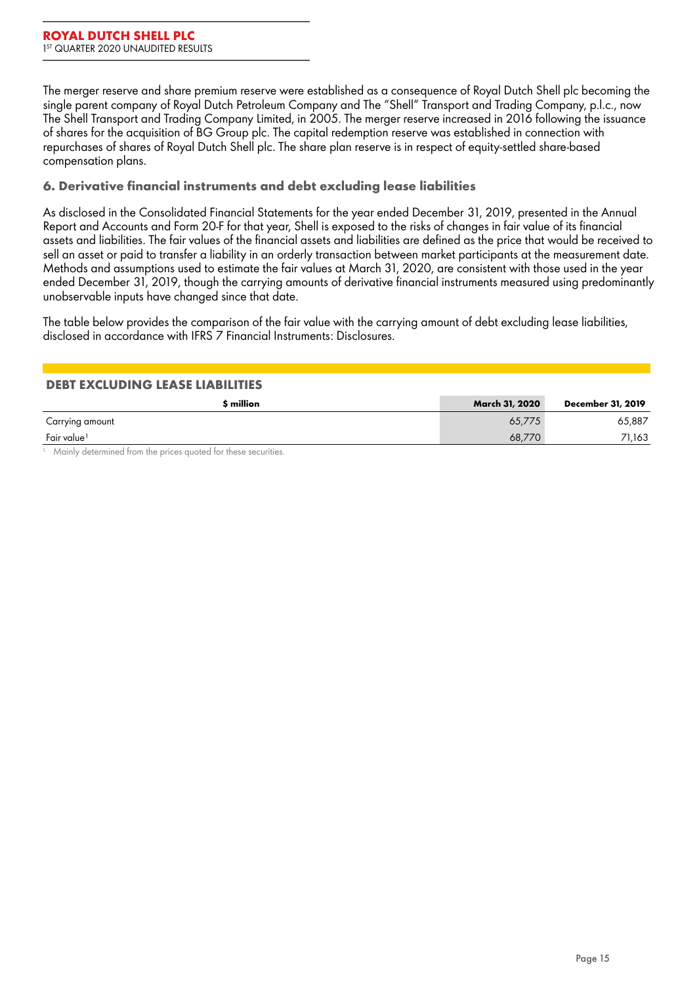The merger reserve and share premium reserve were established as a consequence of Royal Dutch Shell plc becoming the single parent company of Royal Dutch Petroleum Company and The "Shell" Transport and Trading Company, p.l.c., now The Shell Transport and Trading Company Limited, in 2005. The merger reserve increased in 2016 following the issuance of shares for the acquisition of BG Group plc. The capital redemption reserve was established in connection with repurchases of shares of Royal Dutch Shell plc. The share plan reserve is in respect of equity-settled share-based compensation plans.

### **6. Derivative financial instruments and debt excluding lease liabilities**

As disclosed in the Consolidated Financial Statements for the year ended December 31, 2019, presented in the Annual Report and Accounts and Form 20-F for that year, Shell is exposed to the risks of changes in fair value of its financial assets and liabilities. The fair values of the financial assets and liabilities are defined as the price that would be received to sell an asset or paid to transfer a liability in an orderly transaction between market participants at the measurement date. Methods and assumptions used to estimate the fair values at March 31, 2020, are consistent with those used in the year ended December 31, 2019, though the carrying amounts of derivative financial instruments measured using predominantly unobservable inputs have changed since that date.

The table below provides the comparison of the fair value with the carrying amount of debt excluding lease liabilities, disclosed in accordance with IFRS 7 *Financial Instruments: Disclosures*.

### **DEBT EXCLUDING LEASE LIABILITIES**

| s million               | March 31, 2020 | December 31, 2019 |
|-------------------------|----------------|-------------------|
| Carrying amount         | 65,775         | 65,887            |
| Fair value <sup>1</sup> | 68.770         | 71,163            |

<sup>1.</sup> Mainly determined from the prices quoted for these securities.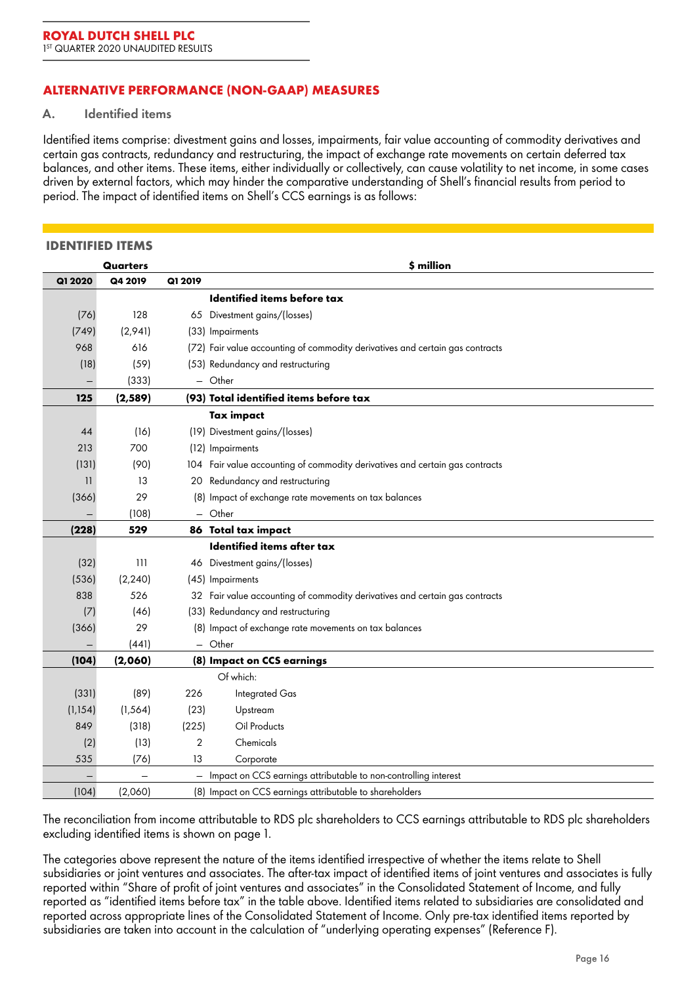## **ALTERNATIVE PERFORMANCE (NON-GAAP) MEASURES**

#### **A. Identified items**

Identified items comprise: divestment gains and losses, impairments, fair value accounting of commodity derivatives and certain gas contracts, redundancy and restructuring, the impact of exchange rate movements on certain deferred tax balances, and other items. These items, either individually or collectively, can cause volatility to net income, in some cases driven by external factors, which may hinder the comparative understanding of Shell's financial results from period to period. The impact of identified items on Shell's CCS earnings is as follows:

#### **IDENTIFIED ITEMS**

|          | Quarters |                   | \$ million                                                                    |
|----------|----------|-------------------|-------------------------------------------------------------------------------|
| Q1 2020  | Q4 2019  | Q1 2019           |                                                                               |
|          |          |                   | Identified items before tax                                                   |
| (76)     | 128      |                   | 65 Divestment gains/(losses)                                                  |
| (749)    | (2,941)  |                   | (33) Impairments                                                              |
| 968      | 616      |                   | (72) Fair value accounting of commodity derivatives and certain gas contracts |
| (18)     | (59)     |                   | (53) Redundancy and restructuring                                             |
|          | (333)    |                   | - Other                                                                       |
| 125      | (2, 589) |                   | (93) Total identified items before tax                                        |
|          |          |                   | Tax impact                                                                    |
| 44       | (16)     |                   | (19) Divestment gains/(losses)                                                |
| 213      | 700      |                   | (12) Impairments                                                              |
| (131)    | (90)     |                   | 104 Fair value accounting of commodity derivatives and certain gas contracts  |
| 11       | 13       | 20                | Redundancy and restructuring                                                  |
| (366)    | 29       |                   | (8) Impact of exchange rate movements on tax balances                         |
|          | (108)    |                   | $-$ Other                                                                     |
| (228)    | 529      |                   | 86 Total tax impact                                                           |
|          |          |                   | <b>Identified items after tax</b>                                             |
| (32)     | 111      |                   | 46 Divestment gains/(losses)                                                  |
| (536)    | (2, 240) |                   | (45) Impairments                                                              |
| 838      | 526      |                   | 32 Fair value accounting of commodity derivatives and certain gas contracts   |
| (7)      | (46)     |                   | (33) Redundancy and restructuring                                             |
| (366)    | 29       |                   | (8) Impact of exchange rate movements on tax balances                         |
|          | (441)    |                   | - Other                                                                       |
| (104)    | (2,060)  |                   | (8) Impact on CCS earnings                                                    |
|          |          |                   | Of which:                                                                     |
| (331)    | (89)     | 226               | Integrated Gas                                                                |
| (1, 154) | (1, 564) | (23)              | Upstream                                                                      |
| 849      | (318)    | (225)             | Oil Products                                                                  |
| (2)      | (13)     | $\overline{2}$    | Chemicals                                                                     |
| 535      | (76)     | 13                | Corporate                                                                     |
|          |          | $\qquad \qquad =$ | Impact on CCS earnings attributable to non-controlling interest               |
| (104)    | (2,060)  |                   | (8) Impact on CCS earnings attributable to shareholders                       |

The reconciliation from income attributable to RDS plc shareholders to CCS earnings attributable to RDS plc shareholders excluding identified items is shown on page 1.

The categories above represent the nature of the items identified irrespective of whether the items relate to Shell subsidiaries or joint ventures and associates. The after-tax impact of identified items of joint ventures and associates is fully reported within "Share of profit of joint ventures and associates" in the Consolidated Statement of Income, and fully reported as "identified items before tax" in the table above. Identified items related to subsidiaries are consolidated and reported across appropriate lines of the Consolidated Statement of Income. Only pre-tax identified items reported by subsidiaries are taken into account in the calculation of "underlying operating expenses" (Reference F).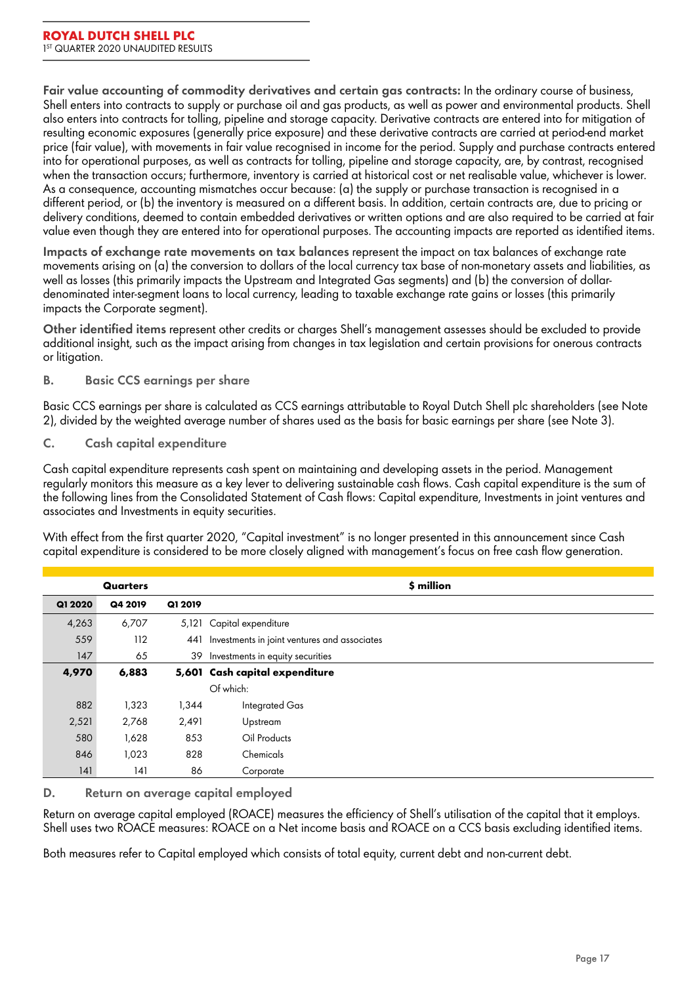**Fair value accounting of commodity derivatives and certain gas contracts:** In the ordinary course of business, Shell enters into contracts to supply or purchase oil and gas products, as well as power and environmental products. Shell also enters into contracts for tolling, pipeline and storage capacity. Derivative contracts are entered into for mitigation of resulting economic exposures (generally price exposure) and these derivative contracts are carried at period-end market price (fair value), with movements in fair value recognised in income for the period. Supply and purchase contracts entered into for operational purposes, as well as contracts for tolling, pipeline and storage capacity, are, by contrast, recognised when the transaction occurs; furthermore, inventory is carried at historical cost or net realisable value, whichever is lower. As a consequence, accounting mismatches occur because: (a) the supply or purchase transaction is recognised in a different period, or (b) the inventory is measured on a different basis. In addition, certain contracts are, due to pricing or delivery conditions, deemed to contain embedded derivatives or written options and are also required to be carried at fair value even though they are entered into for operational purposes. The accounting impacts are reported as identified items.

**Impacts of exchange rate movements on tax balances** represent the impact on tax balances of exchange rate movements arising on (a) the conversion to dollars of the local currency tax base of non-monetary assets and liabilities, as well as losses (this primarily impacts the Upstream and Integrated Gas segments) and (b) the conversion of dollardenominated inter-segment loans to local currency, leading to taxable exchange rate gains or losses (this primarily impacts the Corporate segment).

**Other identified items** represent other credits or charges Shell's management assesses should be excluded to provide additional insight, such as the impact arising from changes in tax legislation and certain provisions for onerous contracts or litigation.

## **B. Basic CCS earnings per share**

Basic CCS earnings per share is calculated as CCS earnings attributable to Royal Dutch Shell plc shareholders (see Note 2), divided by the weighted average number of shares used as the basis for basic earnings per share (see Note 3).

### **C. Cash capital expenditure**

Cash capital expenditure represents cash spent on maintaining and developing assets in the period. Management regularly monitors this measure as a key lever to delivering sustainable cash flows. Cash capital expenditure is the sum of the following lines from the Consolidated Statement of Cash flows: Capital expenditure, Investments in joint ventures and associates and Investments in equity securities.

With effect from the first quarter 2020, "Capital investment" is no longer presented in this announcement since Cash capital expenditure is considered to be more closely aligned with management's focus on free cash flow generation.

|         | <b>Quarters</b> |         | \$ million                                   |
|---------|-----------------|---------|----------------------------------------------|
| Q1 2020 | Q4 2019         | Q1 2019 |                                              |
| 4,263   | 6,707           | 5,121   | Capital expenditure                          |
| 559     | 112             | 441     | Investments in joint ventures and associates |
| 147     | 65              | 39      | Investments in equity securities             |
| 4,970   | 6,883           |         | 5,601 Cash capital expenditure               |
|         |                 |         | Of which:                                    |
| 882     | 1,323           | 1,344   | Integrated Gas                               |
| 2,521   | 2,768           | 2,491   | Upstream                                     |
| 580     | 1,628           | 853     | Oil Products                                 |
| 846     | 1,023           | 828     | Chemicals                                    |
| 4       | 141             | 86      | Corporate                                    |

## **D. Return on average capital employed**

Return on average capital employed (ROACE) measures the efficiency of Shell's utilisation of the capital that it employs. Shell uses two ROACE measures: ROACE on a Net income basis and ROACE on a CCS basis excluding identified items.

Both measures refer to Capital employed which consists of total equity, current debt and non-current debt.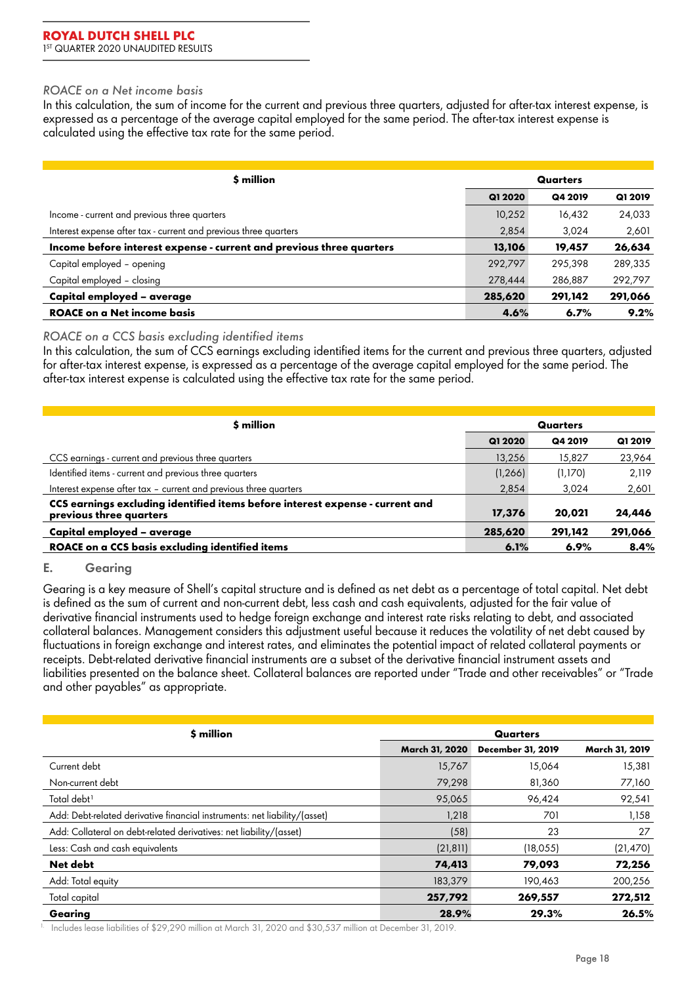#### *ROACE on a Net income basis*

In this calculation, the sum of income for the current and previous three quarters, adjusted for after-tax interest expense, is expressed as a percentage of the average capital employed for the same period. The after-tax interest expense is calculated using the effective tax rate for the same period.

| \$ million                                                           |         | Quarters |         |  |
|----------------------------------------------------------------------|---------|----------|---------|--|
|                                                                      | Q1 2020 | Q4 2019  | Q1 2019 |  |
| Income - current and previous three quarters                         | 10,252  | 16,432   | 24,033  |  |
| Interest expense after tax - current and previous three quarters     | 2,854   | 3,024    | 2,601   |  |
| Income before interest expense - current and previous three quarters | 13,106  | 19,457   | 26,634  |  |
| Capital employed - opening                                           | 292,797 | 295,398  | 289,335 |  |
| Capital employed - closing                                           | 278,444 | 286,887  | 292,797 |  |
| Capital employed - average                                           | 285,620 | 291,142  | 291,066 |  |
| <b>ROACE on a Net income basis</b>                                   | 4.6%    | 6.7%     | 9.2%    |  |

### *ROACE on a CCS basis excluding identified items*

In this calculation, the sum of CCS earnings excluding identified items for the current and previous three quarters, adjusted for after-tax interest expense, is expressed as a percentage of the average capital employed for the same period. The after-tax interest expense is calculated using the effective tax rate for the same period.

| \$ million                                                                                               |          | Quarters |         |  |  |
|----------------------------------------------------------------------------------------------------------|----------|----------|---------|--|--|
|                                                                                                          | Q1 2020  | Q4 2019  | Q1 2019 |  |  |
| CCS earnings - current and previous three quarters                                                       | 13,256   | 15,827   | 23,964  |  |  |
| Identified items - current and previous three quarters                                                   | (1, 266) | (1,170)  | 2,119   |  |  |
| Interest expense after tax - current and previous three quarters                                         | 2.854    | 3.024    | 2,601   |  |  |
| CCS earnings excluding identified items before interest expense - current and<br>previous three quarters | 17,376   | 20,021   | 24,446  |  |  |
| Capital employed - average                                                                               | 285,620  | 291,142  | 291,066 |  |  |
| <b>ROACE on a CCS basis excluding identified items</b>                                                   | 6.1%     | 6.9%     | 8.4%    |  |  |

### **E. Gearing**

Gearing is a key measure of Shell's capital structure and is defined as net debt as a percentage of total capital. Net debt is defined as the sum of current and non-current debt, less cash and cash equivalents, adjusted for the fair value of derivative financial instruments used to hedge foreign exchange and interest rate risks relating to debt, and associated collateral balances. Management considers this adjustment useful because it reduces the volatility of net debt caused by fluctuations in foreign exchange and interest rates, and eliminates the potential impact of related collateral payments or receipts. Debt-related derivative financial instruments are a subset of the derivative financial instrument assets and liabilities presented on the balance sheet. Collateral balances are reported under "Trade and other receivables" or "Trade and other payables" as appropriate.

| \$ million                                                                | Quarters       |                          |                |  |
|---------------------------------------------------------------------------|----------------|--------------------------|----------------|--|
|                                                                           | March 31, 2020 | <b>December 31, 2019</b> | March 31, 2019 |  |
| Current debt                                                              | 15,767         | 15,064                   | 15,381         |  |
| Non-current debt                                                          | 79,298         | 81,360                   | 77,160         |  |
| Total debt <sup>1</sup>                                                   | 95,065         | 96,424                   | 92,541         |  |
| Add: Debt-related derivative financial instruments: net liability/(asset) | 1,218          | 701                      | 1,158          |  |
| Add: Collateral on debt-related derivatives: net liability/(asset)        | (58)           | 23                       | 27             |  |
| Less: Cash and cash equivalents                                           | (21, 811)      | (18,055)                 | (21, 470)      |  |
| Net debt                                                                  | 74,413         | 79,093                   | 72,256         |  |
| Add: Total equity                                                         | 183,379        | 190,463                  | 200,256        |  |
| Total capital                                                             | 257,792        | 269,557                  | 272,512        |  |
| Gearing                                                                   | 28.9%          | 29.3%                    | 26.5%          |  |

<sup>1.</sup> Includes lease liabilities of \$29,290 million at March 31, 2020 and \$30,537 million at December 31, 2019.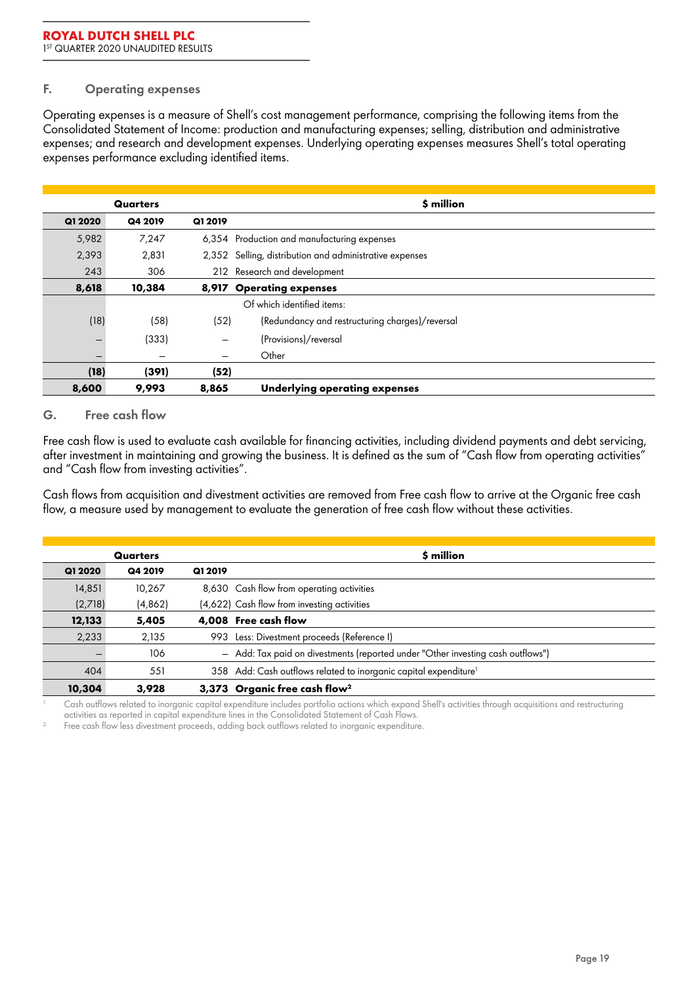### **F. Operating expenses**

Operating expenses is a measure of Shell's cost management performance, comprising the following items from the Consolidated Statement of Income: production and manufacturing expenses; selling, distribution and administrative expenses; and research and development expenses. Underlying operating expenses measures Shell's total operating expenses performance excluding identified items.

|         | Quarters |                          | \$ million                                              |
|---------|----------|--------------------------|---------------------------------------------------------|
| Q1 2020 | Q4 2019  | Q1 2019                  |                                                         |
| 5,982   | 7,247    |                          | 6,354 Production and manufacturing expenses             |
| 2,393   | 2,831    |                          | 2,352 Selling, distribution and administrative expenses |
| 243     | 306      |                          | 212 Research and development                            |
| 8,618   | 10,384   | 8,917                    | <b>Operating expenses</b>                               |
|         |          |                          | Of which identified items:                              |
| (18)    | (58)     | (52)                     | (Redundancy and restructuring charges)/reversal         |
| -       | (333)    | $\overline{\phantom{m}}$ | (Provisions)/reversal                                   |
| -       | -        | -                        | Other                                                   |
| (18)    | (391)    | (52)                     |                                                         |
| 8,600   | 9,993    | 8,865                    | Underlying operating expenses                           |

### **G. Free cash flow**

Free cash flow is used to evaluate cash available for financing activities, including dividend payments and debt servicing, after investment in maintaining and growing the business. It is defined as the sum of "Cash flow from operating activities" and "Cash flow from investing activities".

Cash flows from acquisition and divestment activities are removed from Free cash flow to arrive at the Organic free cash flow, a measure used by management to evaluate the generation of free cash flow without these activities.

| Quarters |         |         | \$ million                                                                      |
|----------|---------|---------|---------------------------------------------------------------------------------|
| Q1 2020  | Q4 2019 | Q1 2019 |                                                                                 |
| 14,851   | 10,267  |         | 8,630 Cash flow from operating activities                                       |
| (2,718)  | (4,862) |         | (4,622) Cash flow from investing activities                                     |
| 12,133   | 5,405   |         | 4,008 Free cash flow                                                            |
| 2,233    | 2,135   |         | 993 Less: Divestment proceeds (Reference I)                                     |
|          | 106     |         | - Add: Tax paid on divestments (reported under "Other investing cash outflows") |
| 404      | 551     |         | 358 Add: Cash outflows related to inorganic capital expenditure <sup>1</sup>    |
| 10,304   | 3,928   |         | 3,373 Organic free cash flow <sup>2</sup>                                       |

1. Cash outflows related to inorganic capital expenditure includes portfolio actions which expand Shell's activities through acquisitions and restructuring activities as reported in capital expenditure lines in the Consolidated Statement of Cash Flows.

Free cash flow less divestment proceeds, adding back outflows related to inorganic expenditure.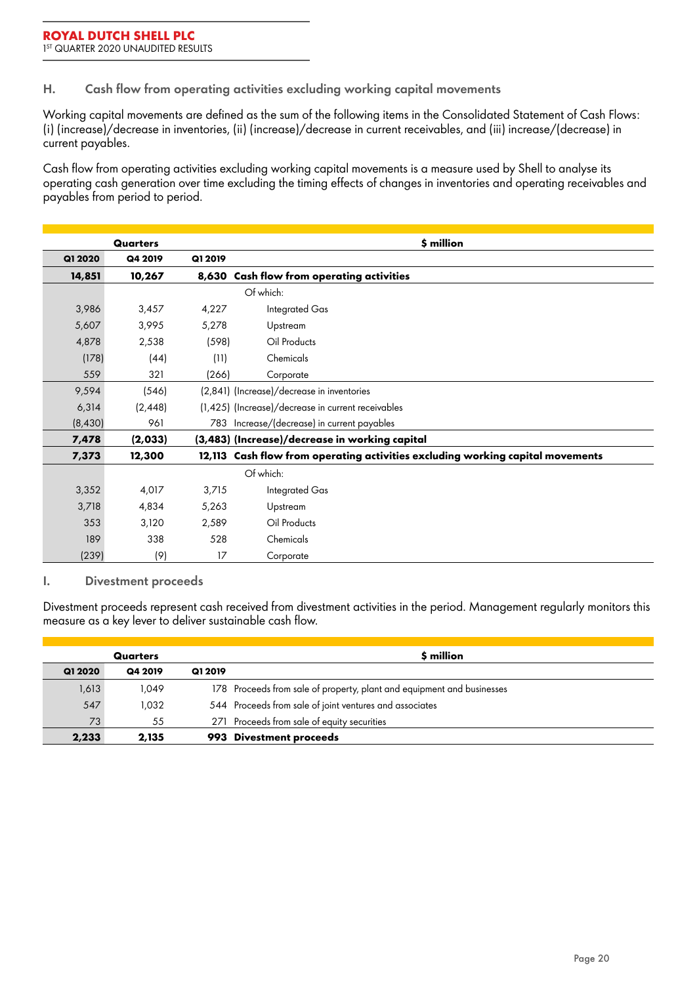**H. Cash flow from operating activities excluding working capital movements**

Working capital movements are defined as the sum of the following items in the Consolidated Statement of Cash Flows: (i) (increase)/decrease in inventories, (ii) (increase)/decrease in current receivables, and (iii) increase/(decrease) in current payables.

Cash flow from operating activities excluding working capital movements is a measure used by Shell to analyse its operating cash generation over time excluding the timing effects of changes in inventories and operating receivables and payables from period to period.

| <b>Quarters</b> |          |         | \$ million                                                                     |
|-----------------|----------|---------|--------------------------------------------------------------------------------|
| Q1 2020         | Q4 2019  | Q1 2019 |                                                                                |
| 14,851          | 10,267   |         | 8,630 Cash flow from operating activities                                      |
|                 |          |         | Of which:                                                                      |
| 3,986           | 3,457    | 4,227   | Integrated Gas                                                                 |
| 5,607           | 3,995    | 5,278   | Upstream                                                                       |
| 4,878           | 2,538    | (598)   | Oil Products                                                                   |
| (178)           | (44)     | (11)    | Chemicals                                                                      |
| 559             | 321      | (266)   | Corporate                                                                      |
| 9,594           | (546)    |         | (2,841) (Increase)/decrease in inventories                                     |
| 6,314           | (2, 448) |         | (1,425) (Increase)/decrease in current receivables                             |
| (8,430)         | 961      |         | 783 Increase/(decrease) in current payables                                    |
| 7,478           | (2,033)  |         | (3,483) (Increase)/decrease in working capital                                 |
| 7,373           | 12,300   |         | 12,113 Cash flow from operating activities excluding working capital movements |
|                 |          |         | Of which:                                                                      |
| 3,352           | 4,017    | 3,715   | Integrated Gas                                                                 |
| 3,718           | 4,834    | 5,263   | Upstream                                                                       |
| 353             | 3,120    | 2,589   | Oil Products                                                                   |
| 189             | 338      | 528     | Chemicals                                                                      |
| (239)           | (9)      | 17      | Corporate                                                                      |

### **I. Divestment proceeds**

Divestment proceeds represent cash received from divestment activities in the period. Management regularly monitors this measure as a key lever to deliver sustainable cash flow.

| Quarters |         |         | \$ million                                                             |
|----------|---------|---------|------------------------------------------------------------------------|
| Q1 2020  | Q4 2019 | Q1 2019 |                                                                        |
| 1,613    | 1,049   |         | 178 Proceeds from sale of property, plant and equipment and businesses |
| 547      | 1,032   |         | 544 Proceeds from sale of joint ventures and associates                |
| 73       | 55      |         | 271 Proceeds from sale of equity securities                            |
| 2,233    | 2.135   |         | 993 Divestment proceeds                                                |